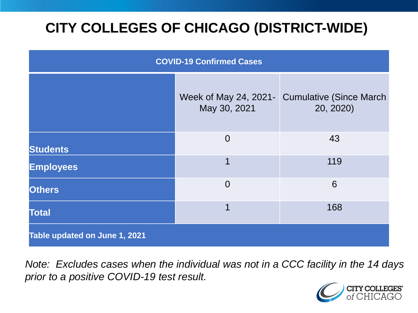# **CITY COLLEGES OF CHICAGO (DISTRICT-WIDE)**

| <b>COVID-19 Confirmed Cases</b> |                                       |                                              |
|---------------------------------|---------------------------------------|----------------------------------------------|
|                                 | Week of May 24, 2021-<br>May 30, 2021 | <b>Cumulative (Since March)</b><br>20, 2020) |
| <b>Students</b>                 | $\overline{0}$                        | 43                                           |
| <b>Employees</b>                | $\mathbf 1$                           | 119                                          |
| <b>Others</b>                   | $\overline{0}$                        | 6                                            |
| <b>Total</b>                    | 1                                     | 168                                          |
| Table updated on June 1, 2021   |                                       |                                              |

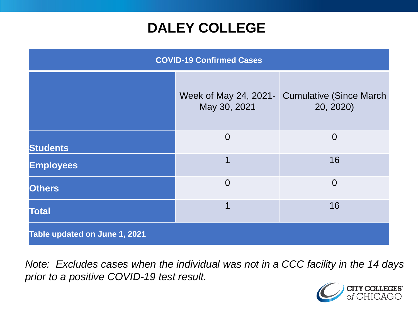### **DALEY COLLEGE**

| <b>COVID-19 Confirmed Cases</b> |                                       |                                             |
|---------------------------------|---------------------------------------|---------------------------------------------|
|                                 | Week of May 24, 2021-<br>May 30, 2021 | <b>Cumulative (Since March</b><br>20, 2020) |
| <b>Students</b>                 | $\overline{0}$                        | $\overline{0}$                              |
| <b>Employees</b>                | 1                                     | 16                                          |
| <b>Others</b>                   | $\overline{0}$                        | $\overline{0}$                              |
| <b>Total</b>                    | 1                                     | 16                                          |
| Table updated on June 1, 2021   |                                       |                                             |

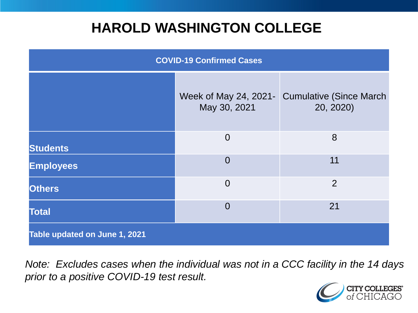### **HAROLD WASHINGTON COLLEGE**

| <b>COVID-19 Confirmed Cases</b> |                                       |                                              |
|---------------------------------|---------------------------------------|----------------------------------------------|
|                                 | Week of May 24, 2021-<br>May 30, 2021 | <b>Cumulative (Since March)</b><br>20, 2020) |
| <b>Students</b>                 | $\overline{0}$                        | 8                                            |
| <b>Employees</b>                | $\Omega$                              | 11                                           |
| <b>Others</b>                   | $\overline{0}$                        | $\overline{2}$                               |
| <b>Total</b>                    | $\Omega$                              | 21                                           |
| Table updated on June 1, 2021   |                                       |                                              |

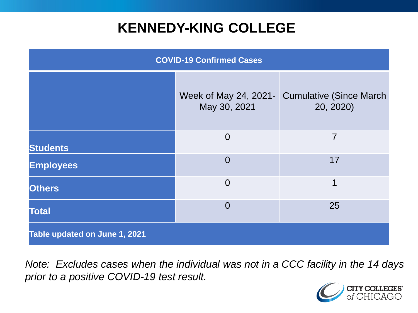### **KENNEDY-KING COLLEGE**

| <b>COVID-19 Confirmed Cases</b> |                                       |                                              |
|---------------------------------|---------------------------------------|----------------------------------------------|
|                                 | Week of May 24, 2021-<br>May 30, 2021 | <b>Cumulative (Since March)</b><br>20, 2020) |
| <b>Students</b>                 | $\overline{0}$                        | 7                                            |
| <b>Employees</b>                | $\overline{0}$                        | 17                                           |
| <b>Others</b>                   | $\overline{0}$                        | 1                                            |
| <b>Total</b>                    | $\overline{0}$                        | 25                                           |
| Table updated on June 1, 2021   |                                       |                                              |

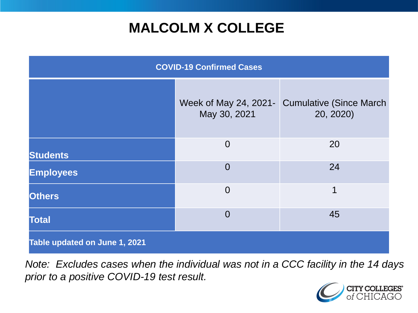# **MALCOLM X COLLEGE**

| <b>COVID-19 Confirmed Cases</b> |                |                                                             |
|---------------------------------|----------------|-------------------------------------------------------------|
|                                 | May 30, 2021   | Week of May 24, 2021 - Cumulative (Since March<br>20, 2020) |
| <b>Students</b>                 | $\overline{0}$ | 20                                                          |
| <b>Employees</b>                | $\overline{0}$ | 24                                                          |
| <b>Others</b>                   | $\overline{0}$ | 1                                                           |
| <b>Total</b>                    | $\overline{0}$ | 45                                                          |
| Table updated on June 1, 2021   |                |                                                             |

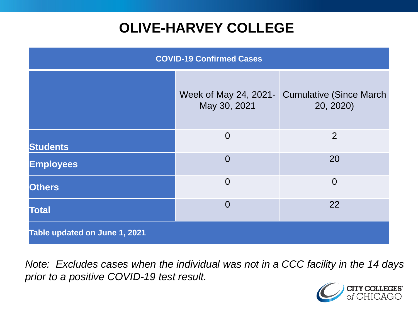# **OLIVE-HARVEY COLLEGE**

| <b>COVID-19 Confirmed Cases</b> |                                       |                                              |
|---------------------------------|---------------------------------------|----------------------------------------------|
|                                 | Week of May 24, 2021-<br>May 30, 2021 | <b>Cumulative (Since March)</b><br>20, 2020) |
| <b>Students</b>                 | $\overline{0}$                        | 2                                            |
| <b>Employees</b>                | $\Omega$                              | 20                                           |
| <b>Others</b>                   | $\overline{0}$                        | $\overline{0}$                               |
| <b>Total</b>                    | $\overline{0}$                        | 22                                           |
| Table updated on June 1, 2021   |                                       |                                              |

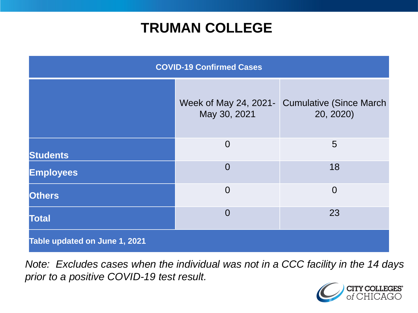### **TRUMAN COLLEGE**

| <b>COVID-19 Confirmed Cases</b> |                                       |                                              |
|---------------------------------|---------------------------------------|----------------------------------------------|
|                                 | Week of May 24, 2021-<br>May 30, 2021 | <b>Cumulative (Since March)</b><br>20, 2020) |
| <b>Students</b>                 | $\overline{0}$                        | 5                                            |
| <b>Employees</b>                | $\overline{0}$                        | 18                                           |
| <b>Others</b>                   | $\overline{0}$                        | $\overline{0}$                               |
| <b>Total</b>                    | $\overline{0}$                        | 23                                           |
| Table updated on June 1, 2021   |                                       |                                              |

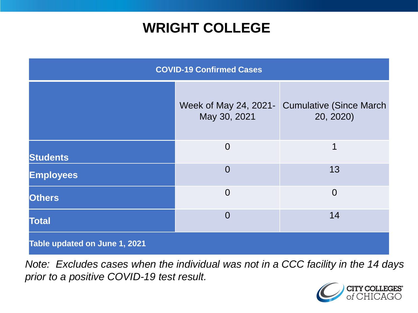### **WRIGHT COLLEGE**

| <b>COVID-19 Confirmed Cases</b> |                                       |                                              |
|---------------------------------|---------------------------------------|----------------------------------------------|
|                                 | Week of May 24, 2021-<br>May 30, 2021 | <b>Cumulative (Since March)</b><br>20, 2020) |
| <b>Students</b>                 | $\overline{0}$                        | 1                                            |
| <b>Employees</b>                | $\overline{0}$                        | 13                                           |
| <b>Others</b>                   | $\overline{0}$                        | $\overline{0}$                               |
| <b>Total</b>                    | $\Omega$                              | 14                                           |
| Table updated on June 1, 2021   |                                       |                                              |